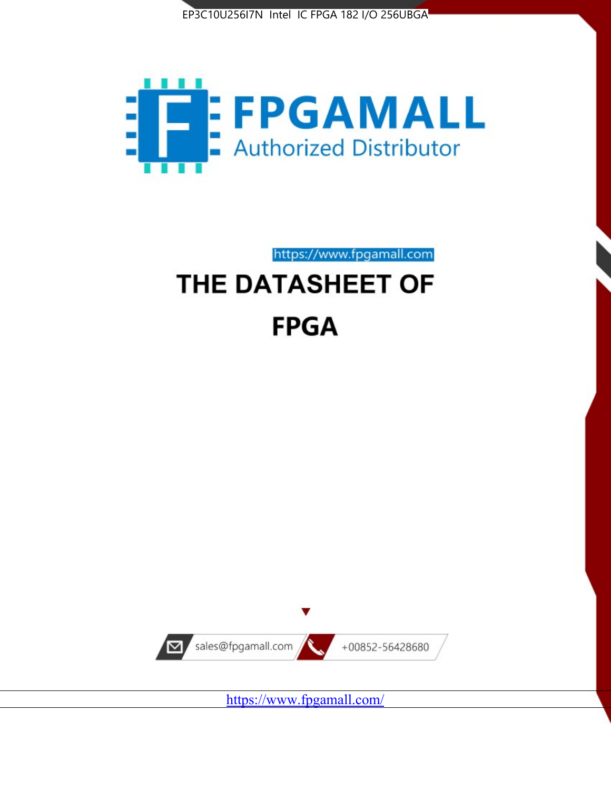



https://www.fpgamall.com

# THE DATASHEET OF **FPGA**



<https://www.fpgamall.com/>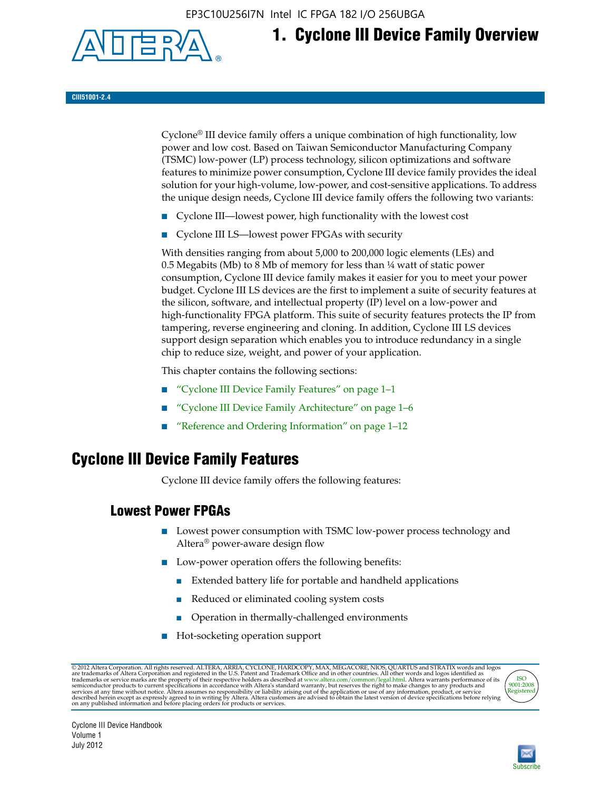EP3C10U256I7N Intel IC FPGA 182 I/O 256UBGA



## **1. Cyclone III Device Family Overview**

#### **CIII51001-2.4**

Cyclone® III device family offers a unique combination of high functionality, low power and low cost. Based on Taiwan Semiconductor Manufacturing Company (TSMC) low-power (LP) process technology, silicon optimizations and software features to minimize power consumption, Cyclone III device family provides the ideal solution for your high-volume, low-power, and cost-sensitive applications. To address the unique design needs, Cyclone III device family offers the following two variants:

- Cyclone III—lowest power, high functionality with the lowest cost
- Cyclone III LS—lowest power FPGAs with security

With densities ranging from about 5,000 to 200,000 logic elements (LEs) and 0.5 Megabits (Mb) to 8 Mb of memory for less than  $\frac{1}{4}$  watt of static power consumption, Cyclone III device family makes it easier for you to meet your power budget. Cyclone III LS devices are the first to implement a suite of security features at the silicon, software, and intellectual property (IP) level on a low-power and high-functionality FPGA platform. This suite of security features protects the IP from tampering, reverse engineering and cloning. In addition, Cyclone III LS devices support design separation which enables you to introduce redundancy in a single chip to reduce size, weight, and power of your application.

This chapter contains the following sections:

- "Cyclone III Device Family Features" on page 1–1
- "Cyclone III Device Family Architecture" on page 1–6
- "Reference and Ordering Information" on page 1–12

## **Cyclone III Device Family Features**

Cyclone III device family offers the following features:

#### **Lowest Power FPGAs**

- Lowest power consumption with TSMC low-power process technology and Altera® power-aware design flow
- Low-power operation offers the following benefits:
	- Extended battery life for portable and handheld applications
	- Reduced or eliminated cooling system costs
	- Operation in thermally-challenged environments
- Hot-socketing operation support

@ 2012 Altera Corporation. All rights reserved. ALTERA, ARRIA, CYCLONE, HARDCOPY, MAX, MEGACORE, NIOS, QUARTUS and STRATIX words and logos are trademarks of Altera Corporation and registered in the U.S. Patent and Trademar



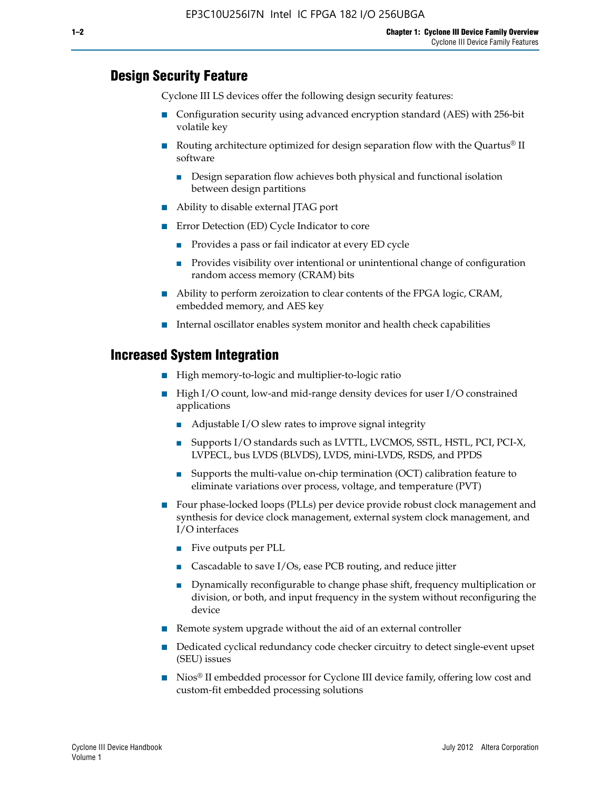#### **Design Security Feature**

Cyclone III LS devices offer the following design security features:

- Configuration security using advanced encryption standard (AES) with 256-bit volatile key
- **■** Routing architecture optimized for design separation flow with the Quartus<sup>®</sup> II software
	- Design separation flow achieves both physical and functional isolation between design partitions
- Ability to disable external JTAG port
- Error Detection (ED) Cycle Indicator to core
	- Provides a pass or fail indicator at every ED cycle
	- Provides visibility over intentional or unintentional change of configuration random access memory (CRAM) bits
- Ability to perform zeroization to clear contents of the FPGA logic, CRAM, embedded memory, and AES key
- Internal oscillator enables system monitor and health check capabilities

#### **Increased System Integration**

- High memory-to-logic and multiplier-to-logic ratio
- High I/O count, low-and mid-range density devices for user I/O constrained applications
	- Adjustable I/O slew rates to improve signal integrity
	- Supports I/O standards such as LVTTL, LVCMOS, SSTL, HSTL, PCI, PCI-X, LVPECL, bus LVDS (BLVDS), LVDS, mini-LVDS, RSDS, and PPDS
	- Supports the multi-value on-chip termination (OCT) calibration feature to eliminate variations over process, voltage, and temperature (PVT)
- Four phase-locked loops (PLLs) per device provide robust clock management and synthesis for device clock management, external system clock management, and I/O interfaces
	- Five outputs per PLL
	- Cascadable to save I/Os, ease PCB routing, and reduce jitter
	- Dynamically reconfigurable to change phase shift, frequency multiplication or division, or both, and input frequency in the system without reconfiguring the device
- Remote system upgrade without the aid of an external controller
- Dedicated cyclical redundancy code checker circuitry to detect single-event upset (SEU) issues
- Nios<sup>®</sup> II embedded processor for Cyclone III device family, offering low cost and custom-fit embedded processing solutions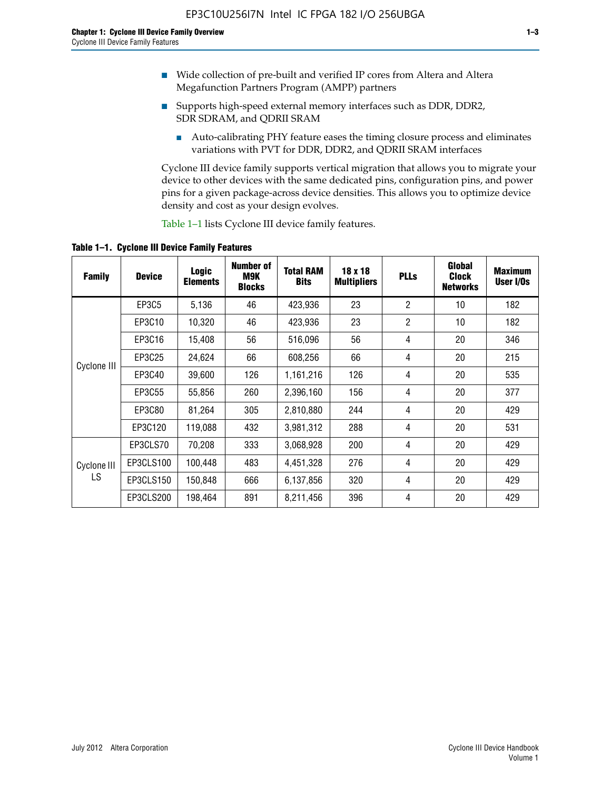- Wide collection of pre-built and verified IP cores from Altera and Altera Megafunction Partners Program (AMPP) partners
- Supports high-speed external memory interfaces such as DDR, DDR2, SDR SDRAM, and QDRII SRAM
	- Auto-calibrating PHY feature eases the timing closure process and eliminates variations with PVT for DDR, DDR2, and QDRII SRAM interfaces

Cyclone III device family supports vertical migration that allows you to migrate your device to other devices with the same dedicated pins, configuration pins, and power pins for a given package-across device densities. This allows you to optimize device density and cost as your design evolves.

Table 1–1 lists Cyclone III device family features.

**Table 1–1. Cyclone III Device Family Features**

| <b>Family</b> | <b>Device</b> | Logic<br><b>Elements</b> | <b>Number of</b><br>M9K<br><b>Blocks</b> | <b>Total RAM</b><br><b>Bits</b> | 18 x 18<br><b>Multipliers</b> | <b>PLLs</b>    | Global<br><b>Clock</b><br><b>Networks</b> | <b>Maximum</b><br>User I/Os |
|---------------|---------------|--------------------------|------------------------------------------|---------------------------------|-------------------------------|----------------|-------------------------------------------|-----------------------------|
|               | EP3C5         | 5,136                    | 46                                       | 423,936                         | 23                            | $\overline{2}$ | 10                                        | 182                         |
|               | EP3C10        | 10,320                   | 46                                       | 423,936                         | 23                            | $\overline{2}$ | 10                                        | 182                         |
|               | EP3C16        | 15,408                   | 56                                       | 516,096                         | 56                            | 4              | 20                                        | 346                         |
|               | EP3C25        | 24,624                   | 66                                       | 608,256                         | 66                            | 4              | 20                                        | 215                         |
| Cyclone III   | EP3C40        | 39,600                   | 126                                      | 1,161,216                       | 126                           | 4              | 20                                        | 535                         |
|               | EP3C55        | 55,856                   | 260                                      | 2,396,160                       | 156                           | 4              | 20                                        | 377                         |
|               | EP3C80        | 81,264                   | 305                                      | 2,810,880                       | 244                           | 4              | 20                                        | 429                         |
|               | EP3C120       | 119,088                  | 432                                      | 3,981,312                       | 288                           | 4              | 20                                        | 531                         |
|               | EP3CLS70      | 70,208                   | 333                                      | 3,068,928                       | 200                           | 4              | 20                                        | 429                         |
| Cyclone III   | EP3CLS100     | 100,448                  | 483                                      | 4,451,328                       | 276                           | 4              | 20                                        | 429                         |
| LS            | EP3CLS150     | 150,848                  | 666                                      | 6,137,856                       | 320                           | 4              | 20                                        | 429                         |
|               | EP3CLS200     | 198,464                  | 891                                      | 8,211,456                       | 396                           | 4              | 20                                        | 429                         |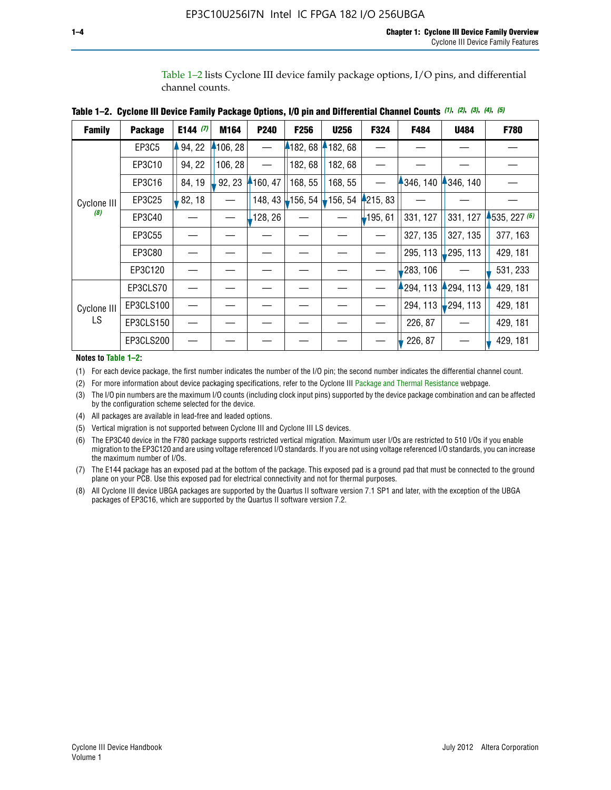Table 1–2 lists Cyclone III device family package options, I/O pins, and differential channel counts.

| <b>Family</b> | <b>Package</b> | E144 $(7)$ | M164     | P240     | <b>F256</b>       | <b>U256</b> | F324       | F484      | <b>U484</b> | F780         |
|---------------|----------------|------------|----------|----------|-------------------|-------------|------------|-----------|-------------|--------------|
|               | EP3C5          | 94, 22     | 4106, 28 |          | 182,68            | 182, 68     |            |           |             |              |
|               | EP3C10         | 94, 22     | 106, 28  |          | 182, 68           | 182,68      |            |           |             |              |
|               | EP3C16         | 84, 19     | 92, 23   | 160, 47  | 168, 55           | 168, 55     |            | 346, 140  | 4346, 140   |              |
| Cyclone III   | EP3C25         | 82, 18     |          | 148, 43  | $156, 54$ 156, 54 |             | 4215, 83   |           |             |              |
| (8)           | EP3C40         |            |          | ,128, 26 |                   |             | $-195, 61$ | 331, 127  | 331, 127    | 1535, 227(6) |
|               | EP3C55         |            |          |          |                   |             |            | 327, 135  | 327, 135    | 377, 163     |
|               | EP3C80         |            |          |          |                   |             |            | 295, 113  | 295, 113    | 429, 181     |
|               | EP3C120        |            |          |          |                   |             |            | 283, 106  |             | 531, 233     |
|               | EP3CLS70       |            |          |          |                   |             |            | 1294, 113 | 294, 113    | 429, 181     |
| Cyclone III   | EP3CLS100      |            |          |          |                   |             |            | 294, 113  | $-294, 113$ | 429, 181     |
| LS.           | EP3CLS150      |            |          |          |                   |             |            | 226, 87   |             | 429, 181     |
|               | EP3CLS200      |            |          |          |                   |             |            | 226, 87   |             | 429, 181     |

|  | Table 1–2. Cyclone III Device Family Package Options, I/O pin and Differential Channel Counts (1), (2), (3), (4), (5) |  |  |  |  |  |  |  |  |
|--|-----------------------------------------------------------------------------------------------------------------------|--|--|--|--|--|--|--|--|
|--|-----------------------------------------------------------------------------------------------------------------------|--|--|--|--|--|--|--|--|

**Notes to Table 1–2:**

(1) For each device package, the first number indicates the number of the I/O pin; the second number indicates the differential channel count.

(2) For more information about device packaging specifications, refer to the Cyclone III [Package and Thermal Resistance](http://www.altera.com/support/devices/packaging/specifications/pkg-pin/dev-package-listing.jsp?device=Cyclone_III) webpage.

(3) The I/O pin numbers are the maximum I/O counts (including clock input pins) supported by the device package combination and can be affected by the configuration scheme selected for the device.

(4) All packages are available in lead-free and leaded options.

(5) Vertical migration is not supported between Cyclone III and Cyclone III LS devices.

(6) The EP3C40 device in the F780 package supports restricted vertical migration. Maximum user I/Os are restricted to 510 I/Os if you enable migration to the EP3C120 and are using voltage referenced I/O standards. If you are not using voltage referenced I/O standards, you can increase the maximum number of I/Os.

(7) The E144 package has an exposed pad at the bottom of the package. This exposed pad is a ground pad that must be connected to the ground plane on your PCB. Use this exposed pad for electrical connectivity and not for thermal purposes.

(8) All Cyclone III device UBGA packages are supported by the Quartus II software version 7.1 SP1 and later, with the exception of the UBGA packages of EP3C16, which are supported by the Quartus II software version 7.2.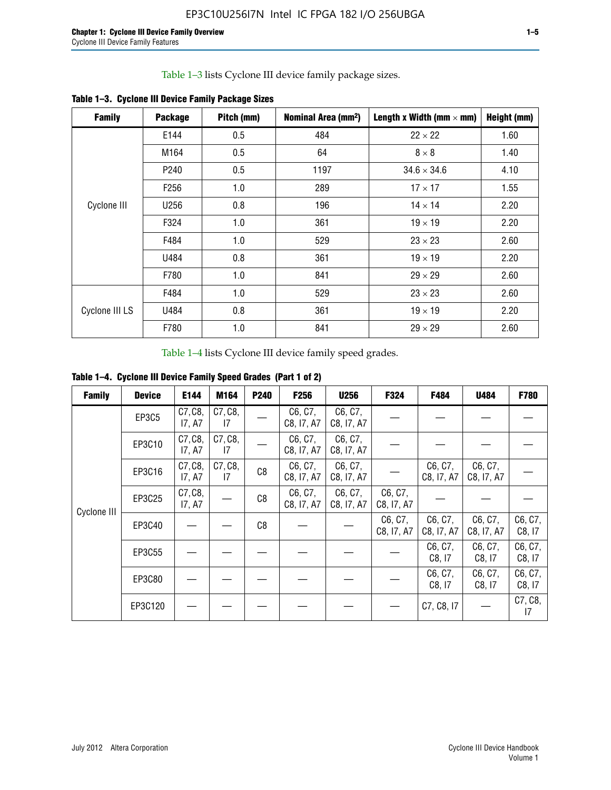Table 1–3 lists Cyclone III device family package sizes.

| <b>Family</b>  | <b>Package</b>   | Pitch (mm) | Nominal Area (mm <sup>2</sup> ) | Length x Width (mm $\times$ mm) | Height (mm) |
|----------------|------------------|------------|---------------------------------|---------------------------------|-------------|
|                | E144             | 0.5        | 484                             | $22 \times 22$                  | 1.60        |
|                | M164             | 0.5        | 64                              | $8 \times 8$                    | 1.40        |
|                | P <sub>240</sub> | 0.5        | 1197                            | $34.6 \times 34.6$              | 4.10        |
|                | F <sub>256</sub> | 1.0        | 289                             | $17 \times 17$                  | 1.55        |
| Cyclone III    | U256             | 0.8        | 196                             | $14 \times 14$                  | 2.20        |
|                | F324             | 1.0        | 361                             | $19 \times 19$                  | 2.20        |
|                | F484             | 1.0        | 529                             | $23 \times 23$                  | 2.60        |
|                | U484             | 0.8        | 361                             | $19 \times 19$                  | 2.20        |
|                | F780             | 1.0        | 841                             | $29 \times 29$                  | 2.60        |
|                | F484             | 1.0        | 529                             | $23 \times 23$                  | 2.60        |
| Cyclone III LS | U484             | 0.8        | 361                             | $19 \times 19$                  | 2.20        |
|                | F780             | 1.0        | 841                             | $29 \times 29$                  | 2.60        |

**Table 1–3. Cyclone III Device Family Package Sizes**

Table 1–4 lists Cyclone III device family speed grades.

**Table 1–4. Cyclone III Device Family Speed Grades (Part 1 of 2)**

| <b>Family</b> | <b>Device</b> | E144              | M164          | <b>P240</b> | F <sub>256</sub>      | <b>U256</b>           | F324                  | F484                  | U484                  | <b>F780</b>       |
|---------------|---------------|-------------------|---------------|-------------|-----------------------|-----------------------|-----------------------|-----------------------|-----------------------|-------------------|
|               | <b>EP3C5</b>  | C7, C8,<br>17, A7 | C7, C8,<br>17 |             | C6, C7,<br>C8, I7, A7 | C6, C7,<br>C8, I7, A7 |                       |                       |                       |                   |
|               | EP3C10        | C7, C8,<br>17, A7 | C7, C8,<br>17 |             | C6, C7,<br>C8, I7, A7 | C6, C7,<br>C8, I7, A7 |                       |                       |                       |                   |
|               | EP3C16        | C7, C8,<br>17, A7 | C7, C8,<br>17 | C8          | C6, C7,<br>C8, I7, A7 | C6, C7,<br>C8, I7, A7 |                       | C6, C7,<br>C8, I7, A7 | C6, C7,<br>C8, I7, A7 |                   |
| Cyclone III   | EP3C25        | C7, C8,<br>17, A7 |               | C8          | C6, C7,<br>C8, I7, A7 | C6, C7,<br>C8, I7, A7 | C6, C7,<br>C8, I7, A7 |                       |                       |                   |
|               | EP3C40        |                   |               | C8          |                       |                       | C6, C7,<br>C8, I7, A7 | C6, C7,<br>C8, I7, A7 | C6, C7,<br>C8, I7, A7 | C6, C7,<br>C8, 17 |
|               | EP3C55        |                   |               |             |                       |                       |                       | C6, C7,<br>C8, 17     | C6, C7,<br>C8, 17     | C6, C7,<br>C8, 17 |
|               | EP3C80        |                   |               |             |                       |                       |                       | C6, C7,<br>C8, 17     | C6, C7,<br>C8, 17     | C6, C7,<br>C8, 17 |
|               | EP3C120       |                   |               |             |                       |                       |                       | C7, C8, I7            |                       | C7, C8,<br>17     |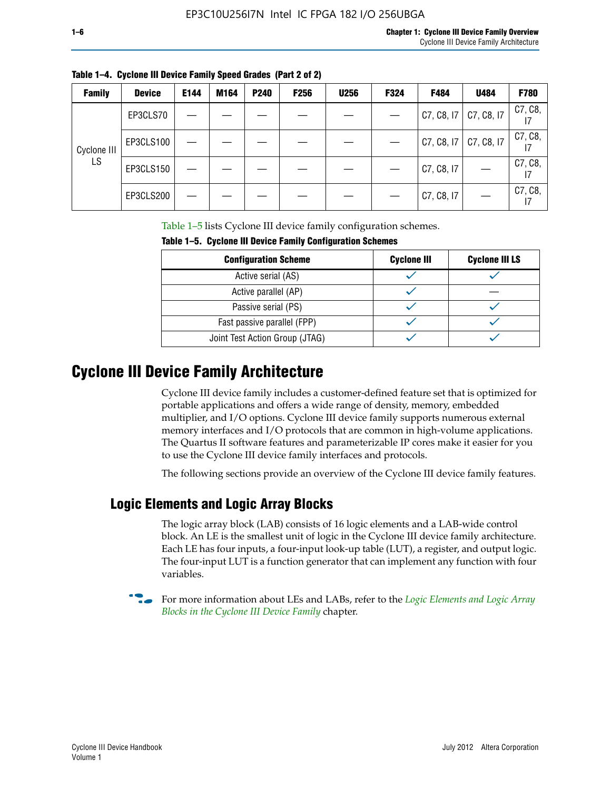| ۰. |  |  |  |
|----|--|--|--|
|    |  |  |  |

| <b>Family</b> | <b>Device</b> | E144 | M164 | <b>P240</b> | <b>F256</b> | <b>U256</b> | F324 | F484       | U484       | F780          |
|---------------|---------------|------|------|-------------|-------------|-------------|------|------------|------------|---------------|
|               | EP3CLS70      |      |      |             |             |             |      | C7, C8, I7 | C7, C8, I7 | C7, C8,       |
| Cyclone III   | EP3CLS100     |      |      |             |             |             |      | C7, C8, 17 | C7, C8, I7 | C7, C8,       |
| LS            | EP3CLS150     |      |      |             |             |             |      | C7, C8, I7 |            | C7, C8,<br>17 |
|               | EP3CLS200     |      |      |             |             |             |      | C7, C8, I7 |            | C7, C8,<br>17 |

**Table 1–4. Cyclone III Device Family Speed Grades (Part 2 of 2)**

Table 1–5 lists Cyclone III device family configuration schemes.

| <b>IQUIE 1-3. CYCLUILE III DEVICE FAILIIV CUILILUILATION SCIIENIES</b> |                    |                       |  |
|------------------------------------------------------------------------|--------------------|-----------------------|--|
| <b>Configuration Scheme</b>                                            | <b>Cyclone III</b> | <b>Cyclone III LS</b> |  |
| Active serial (AS)                                                     |                    |                       |  |
| Active parallel (AP)                                                   |                    |                       |  |
| Passive serial (PS)                                                    |                    |                       |  |
| Fast passive parallel (FPP)                                            |                    |                       |  |
| Joint Test Action Group (JTAG)                                         |                    |                       |  |

**Table 1–5. Cyclone III Device Family Configuration Schemes**

## **Cyclone III Device Family Architecture**

Cyclone III device family includes a customer-defined feature set that is optimized for portable applications and offers a wide range of density, memory, embedded multiplier, and I/O options. Cyclone III device family supports numerous external memory interfaces and I/O protocols that are common in high-volume applications. The Quartus II software features and parameterizable IP cores make it easier for you to use the Cyclone III device family interfaces and protocols.

The following sections provide an overview of the Cyclone III device family features.

#### **Logic Elements and Logic Array Blocks**

The logic array block (LAB) consists of 16 logic elements and a LAB-wide control block. An LE is the smallest unit of logic in the Cyclone III device family architecture. Each LE has four inputs, a four-input look-up table (LUT), a register, and output logic. The four-input LUT is a function generator that can implement any function with four variables.

f For more information about LEs and LABs, refer to the *[Logic Elements and Logic Array](http://www.altera.com/literature/hb/cyc3/cyc3_ciii51002.pdf)  [Blocks in the Cyclone III Device Family](http://www.altera.com/literature/hb/cyc3/cyc3_ciii51002.pdf)* chapter.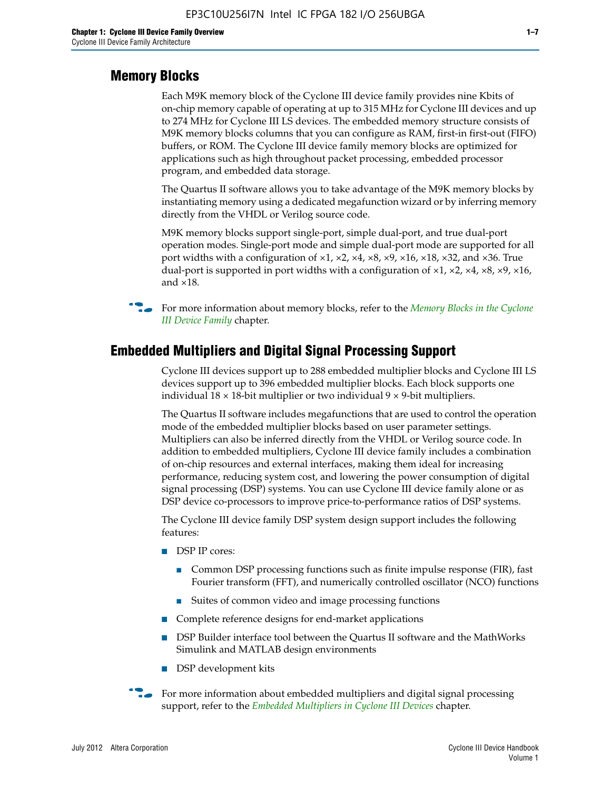#### **Memory Blocks**

Each M9K memory block of the Cyclone III device family provides nine Kbits of on-chip memory capable of operating at up to 315 MHz for Cyclone III devices and up to 274 MHz for Cyclone III LS devices. The embedded memory structure consists of M9K memory blocks columns that you can configure as RAM, first-in first-out (FIFO) buffers, or ROM. The Cyclone III device family memory blocks are optimized for applications such as high throughout packet processing, embedded processor program, and embedded data storage.

The Quartus II software allows you to take advantage of the M9K memory blocks by instantiating memory using a dedicated megafunction wizard or by inferring memory directly from the VHDL or Verilog source code.

M9K memory blocks support single-port, simple dual-port, and true dual-port operation modes. Single-port mode and simple dual-port mode are supported for all port widths with a configuration of  $\times1$ ,  $\times2$ ,  $\times4$ ,  $\times8$ ,  $\times9$ ,  $\times16$ ,  $\times18$ ,  $\times32$ , and  $\times36$ . True dual-port is supported in port widths with a configuration of  $\times$ 1,  $\times$ 2,  $\times$ 4,  $\times$ 8,  $\times$ 9,  $\times$ 16, and ×18.



**For more information about memory blocks, refer to the** *Memory Blocks in the Cyclone [III Device Family](http://www.altera.com/literature/hb/cyc3/cyc3_ciii51004.pdf)* chapter.

#### **Embedded Multipliers and Digital Signal Processing Support**

Cyclone III devices support up to 288 embedded multiplier blocks and Cyclone III LS devices support up to 396 embedded multiplier blocks. Each block supports one individual  $18 \times 18$ -bit multiplier or two individual  $9 \times 9$ -bit multipliers.

The Quartus II software includes megafunctions that are used to control the operation mode of the embedded multiplier blocks based on user parameter settings. Multipliers can also be inferred directly from the VHDL or Verilog source code. In addition to embedded multipliers, Cyclone III device family includes a combination of on-chip resources and external interfaces, making them ideal for increasing performance, reducing system cost, and lowering the power consumption of digital signal processing (DSP) systems. You can use Cyclone III device family alone or as DSP device co-processors to improve price-to-performance ratios of DSP systems.

The Cyclone III device family DSP system design support includes the following features:

- DSP IP cores:
	- Common DSP processing functions such as finite impulse response (FIR), fast Fourier transform (FFT), and numerically controlled oscillator (NCO) functions
	- Suites of common video and image processing functions
- Complete reference designs for end-market applications
- DSP Builder interface tool between the Quartus II software and the MathWorks Simulink and MATLAB design environments
- DSP development kits
- For more information about embedded multipliers and digital signal processing support, refer to the *[Embedded Multipliers in Cyclone III Devices](http://www.altera.com/literature/hb/cyc3/cyc3_ciii51005.pdf)* chapter.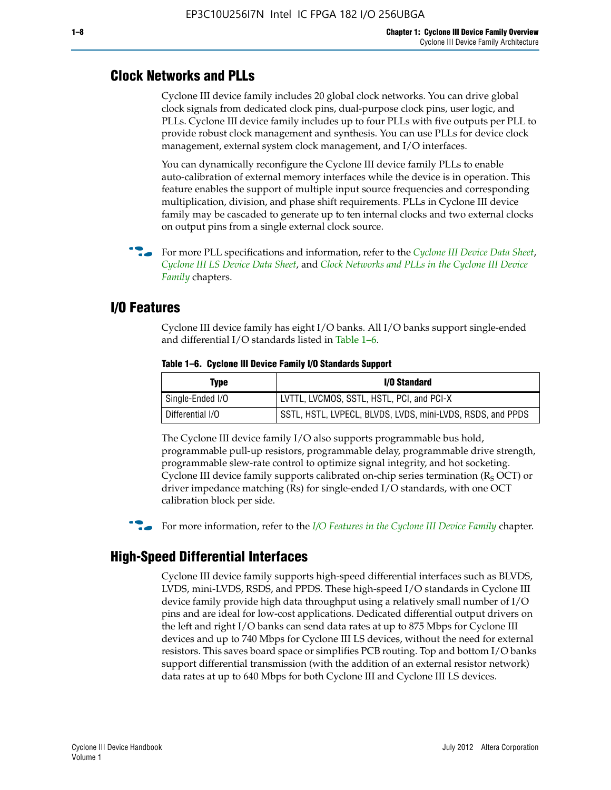#### **Clock Networks and PLLs**

Cyclone III device family includes 20 global clock networks. You can drive global clock signals from dedicated clock pins, dual-purpose clock pins, user logic, and PLLs. Cyclone III device family includes up to four PLLs with five outputs per PLL to provide robust clock management and synthesis. You can use PLLs for device clock management, external system clock management, and I/O interfaces.

You can dynamically reconfigure the Cyclone III device family PLLs to enable auto-calibration of external memory interfaces while the device is in operation. This feature enables the support of multiple input source frequencies and corresponding multiplication, division, and phase shift requirements. PLLs in Cyclone III device family may be cascaded to generate up to ten internal clocks and two external clocks on output pins from a single external clock source.

**For more PLL specifications and information, refer to the** *[Cyclone III Device Data Sheet](http://www.altera.com/literature/hb/cyc3/cyc3_ciii52001.pdf)***,** *[Cyclone III LS Device Data Sheet](http://www.altera.com/literature/hb/cyc3/cyc3_ciii52002.pdf)*, and *[Clock Networks and PLLs in the Cyclone III Device](http://www.altera.com/literature/hb/cyc3/cyc3_ciii51006.pdf)  [Family](http://www.altera.com/literature/hb/cyc3/cyc3_ciii51006.pdf)* chapters.

#### **I/O Features**

Cyclone III device family has eight I/O banks. All I/O banks support single-ended and differential I/O standards listed in Table 1–6.

| Type             | <b>I/O Standard</b>                                        |
|------------------|------------------------------------------------------------|
| Single-Ended I/O | LVTTL, LVCMOS, SSTL, HSTL, PCI, and PCI-X                  |
| Differential I/O | SSTL, HSTL, LVPECL, BLVDS, LVDS, mini-LVDS, RSDS, and PPDS |

**Table 1–6. Cyclone III Device Family I/O Standards Support** 

The Cyclone III device family I/O also supports programmable bus hold, programmable pull-up resistors, programmable delay, programmable drive strength, programmable slew-rate control to optimize signal integrity, and hot socketing. Cyclone III device family supports calibrated on-chip series termination ( $R_S$  OCT) or driver impedance matching (Rs) for single-ended I/O standards, with one OCT calibration block per side.

For more information, refer to the *[I/O Features in the Cyclone III Device Family](http://www.altera.com/literature/hb/cyc3/cyc3_ciii51007.pdf)* chapter.

#### **High-Speed Differential Interfaces**

Cyclone III device family supports high-speed differential interfaces such as BLVDS, LVDS, mini-LVDS, RSDS, and PPDS. These high-speed I/O standards in Cyclone III device family provide high data throughput using a relatively small number of I/O pins and are ideal for low-cost applications. Dedicated differential output drivers on the left and right I/O banks can send data rates at up to 875 Mbps for Cyclone III devices and up to 740 Mbps for Cyclone III LS devices, without the need for external resistors. This saves board space or simplifies PCB routing. Top and bottom I/O banks support differential transmission (with the addition of an external resistor network) data rates at up to 640 Mbps for both Cyclone III and Cyclone III LS devices.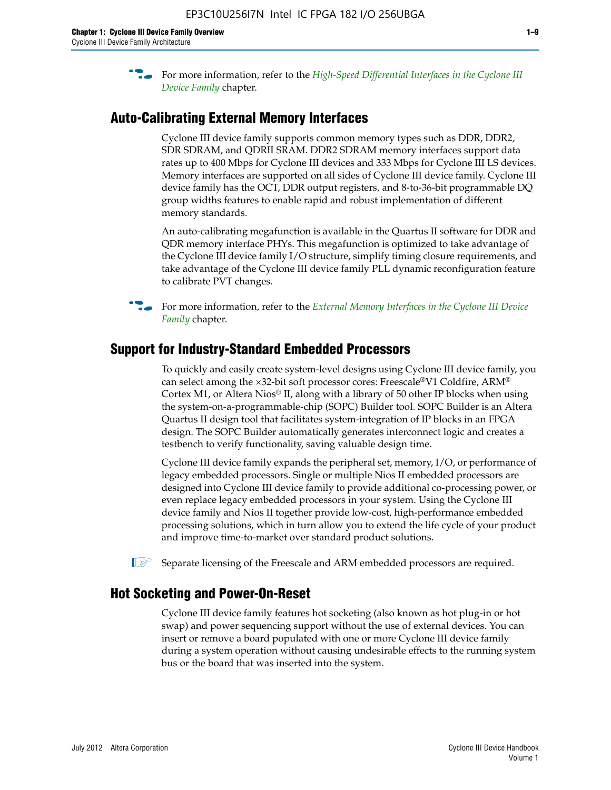**For more information, refer to the** *High-Speed Differential Interfaces in the Cyclone III* $\overline{a}$ *[Device Family](http://www.altera.com/literature/hb/cyc3/cyc3_ciii51008.pdf)* chapter.

#### **Auto-Calibrating External Memory Interfaces**

Cyclone III device family supports common memory types such as DDR, DDR2, SDR SDRAM, and QDRII SRAM. DDR2 SDRAM memory interfaces support data rates up to 400 Mbps for Cyclone III devices and 333 Mbps for Cyclone III LS devices. Memory interfaces are supported on all sides of Cyclone III device family. Cyclone III device family has the OCT, DDR output registers, and 8-to-36-bit programmable DQ group widths features to enable rapid and robust implementation of different memory standards.

An auto-calibrating megafunction is available in the Quartus II software for DDR and QDR memory interface PHYs. This megafunction is optimized to take advantage of the Cyclone III device family I/O structure, simplify timing closure requirements, and take advantage of the Cyclone III device family PLL dynamic reconfiguration feature to calibrate PVT changes.

**For more information, refer to the** *External Memory Interfaces in the Cyclone III Device [Family](http://www.altera.com/literature/hb/cyc3/cyc3_ciii51009.pdf)* chapter.

#### **Support for Industry-Standard Embedded Processors**

To quickly and easily create system-level designs using Cyclone III device family, you can select among the ×32-bit soft processor cores: Freescale®V1 Coldfire, ARM® Cortex M1, or Altera Nios® II, along with a library of 50 other IP blocks when using the system-on-a-programmable-chip (SOPC) Builder tool. SOPC Builder is an Altera Quartus II design tool that facilitates system-integration of IP blocks in an FPGA design. The SOPC Builder automatically generates interconnect logic and creates a testbench to verify functionality, saving valuable design time.

Cyclone III device family expands the peripheral set, memory, I/O, or performance of legacy embedded processors. Single or multiple Nios II embedded processors are designed into Cyclone III device family to provide additional co-processing power, or even replace legacy embedded processors in your system. Using the Cyclone III device family and Nios II together provide low-cost, high-performance embedded processing solutions, which in turn allow you to extend the life cycle of your product and improve time-to-market over standard product solutions.

 $\mathbb{I}$  Separate licensing of the Freescale and ARM embedded processors are required.

#### **Hot Socketing and Power-On-Reset**

Cyclone III device family features hot socketing (also known as hot plug-in or hot swap) and power sequencing support without the use of external devices. You can insert or remove a board populated with one or more Cyclone III device family during a system operation without causing undesirable effects to the running system bus or the board that was inserted into the system.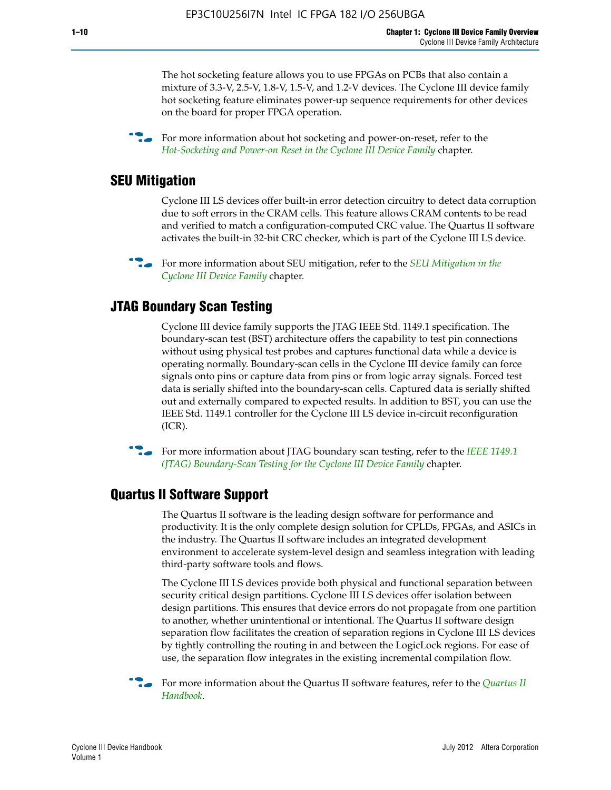The hot socketing feature allows you to use FPGAs on PCBs that also contain a mixture of 3.3-V, 2.5-V, 1.8-V, 1.5-V, and 1.2-V devices. The Cyclone III device family hot socketing feature eliminates power-up sequence requirements for other devices on the board for proper FPGA operation.

For more information about hot socketing and power-on-reset, refer to the *[Hot-Socketing and Power-on Reset in the Cyclone III Device Family](http://www.altera.com/literature/hb/cyc3/cyc3_ciii51011.pdf)* chapter.

#### **SEU Mitigation**

Cyclone III LS devices offer built-in error detection circuitry to detect data corruption due to soft errors in the CRAM cells. This feature allows CRAM contents to be read and verified to match a configuration-computed CRC value. The Quartus II software activates the built-in 32-bit CRC checker, which is part of the Cyclone III LS device.

**For more information about SEU mitigation, refer to the** *SEU Mitigation in the [Cyclone III Device Family](http://www.altera.com/literature/hb/cyc3/cyc3_ciii51013.pdf)* chapter.

#### **JTAG Boundary Scan Testing**

Cyclone III device family supports the JTAG IEEE Std. 1149.1 specification. The boundary-scan test (BST) architecture offers the capability to test pin connections without using physical test probes and captures functional data while a device is operating normally. Boundary-scan cells in the Cyclone III device family can force signals onto pins or capture data from pins or from logic array signals. Forced test data is serially shifted into the boundary-scan cells. Captured data is serially shifted out and externally compared to expected results. In addition to BST, you can use the IEEE Std. 1149.1 controller for the Cyclone III LS device in-circuit reconfiguration (ICR).

**f f**or more information about JTAG boundary scan testing, refer to the *IEEE* 1149.1 *[\(JTAG\) Boundary-Scan Testing for the Cyclone III Device Family](http://www.altera.com/literature/hb/cyc3/cyc3_ciii51014.pdf)* chapter.

#### **Quartus II Software Support**

The Quartus II software is the leading design software for performance and productivity. It is the only complete design solution for CPLDs, FPGAs, and ASICs in the industry. The Quartus II software includes an integrated development environment to accelerate system-level design and seamless integration with leading third-party software tools and flows.

The Cyclone III LS devices provide both physical and functional separation between security critical design partitions. Cyclone III LS devices offer isolation between design partitions. This ensures that device errors do not propagate from one partition to another, whether unintentional or intentional. The Quartus II software design separation flow facilitates the creation of separation regions in Cyclone III LS devices by tightly controlling the routing in and between the LogicLock regions. For ease of use, the separation flow integrates in the existing incremental compilation flow.

f For more information about the Quartus II software features, refer to the *[Quartus II](http://www.altera.com/literature/hb/qts/quartusii_handbook.pdf)  [Handbook](http://www.altera.com/literature/hb/qts/quartusii_handbook.pdf)*.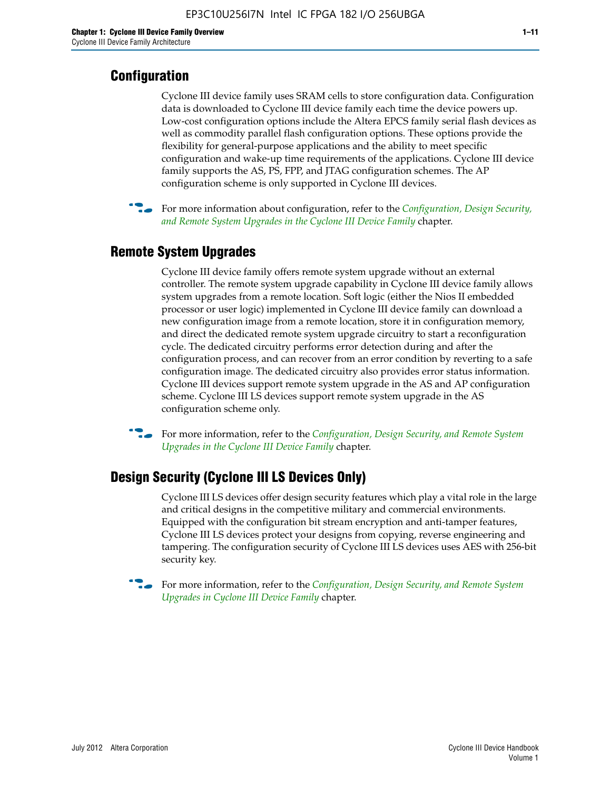### **Configuration**

Cyclone III device family uses SRAM cells to store configuration data. Configuration data is downloaded to Cyclone III device family each time the device powers up. Low-cost configuration options include the Altera EPCS family serial flash devices as well as commodity parallel flash configuration options. These options provide the flexibility for general-purpose applications and the ability to meet specific configuration and wake-up time requirements of the applications. Cyclone III device family supports the AS, PS, FPP, and JTAG configuration schemes. The AP configuration scheme is only supported in Cyclone III devices.



f For more information about configuration, refer to the *[Configuration, Design Security,](http://www.altera.com/literature/hb/cyc3/cyc3_ciii51016.pdf)  [and Remote System Upgrades in the Cyclone III Device Family](http://www.altera.com/literature/hb/cyc3/cyc3_ciii51016.pdf)* chapter.

### **Remote System Upgrades**

Cyclone III device family offers remote system upgrade without an external controller. The remote system upgrade capability in Cyclone III device family allows system upgrades from a remote location. Soft logic (either the Nios II embedded processor or user logic) implemented in Cyclone III device family can download a new configuration image from a remote location, store it in configuration memory, and direct the dedicated remote system upgrade circuitry to start a reconfiguration cycle. The dedicated circuitry performs error detection during and after the configuration process, and can recover from an error condition by reverting to a safe configuration image. The dedicated circuitry also provides error status information. Cyclone III devices support remote system upgrade in the AS and AP configuration scheme. Cyclone III LS devices support remote system upgrade in the AS configuration scheme only.

**For more information, refer to the** *Configuration, Design Security, and Remote System [Upgrades in the Cyclone III Device Family](http://www.altera.com/literature/hb/cyc3/cyc3_ciii51016.pdf)* chapter.

#### **Design Security (Cyclone III LS Devices Only)**

Cyclone III LS devices offer design security features which play a vital role in the large and critical designs in the competitive military and commercial environments. Equipped with the configuration bit stream encryption and anti-tamper features, Cyclone III LS devices protect your designs from copying, reverse engineering and tampering. The configuration security of Cyclone III LS devices uses AES with 256-bit security key.

f For more information, refer to the *[Configuration, Design Security, and Remote System](http://www.altera.com/literature/hb/cyc3/cyc3_ciii51016.pdf)  [Upgrades in Cyclone III Device Family](http://www.altera.com/literature/hb/cyc3/cyc3_ciii51016.pdf)* chapter.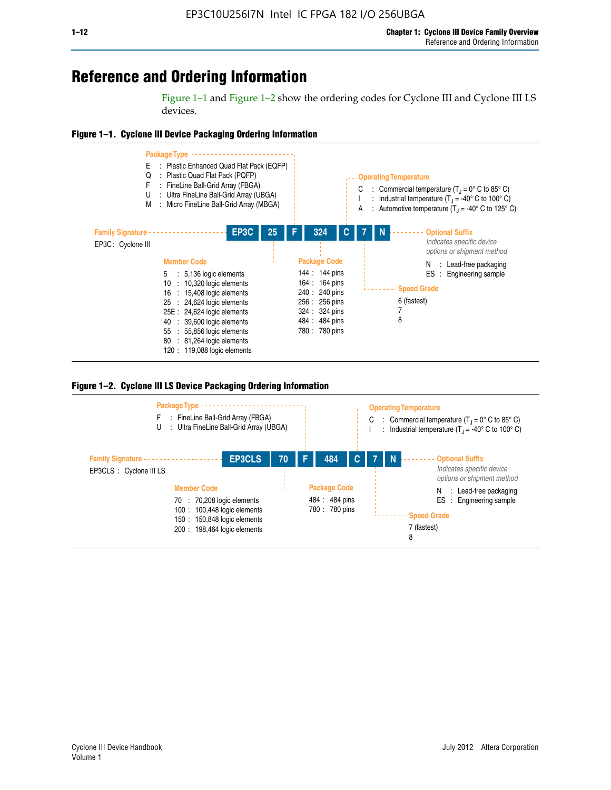## **Reference and Ordering Information**

Figure 1–1 and Figure 1–2 show the ordering codes for Cyclone III and Cyclone III LS devices.







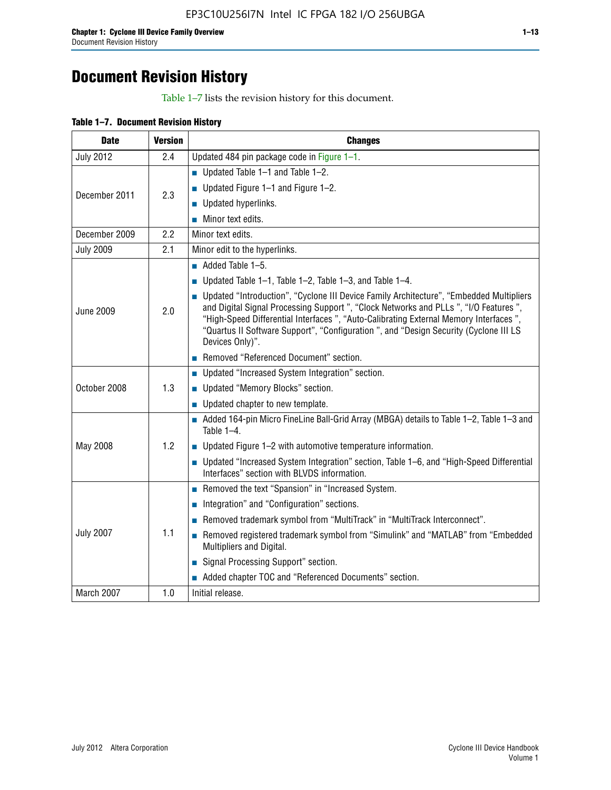## **Document Revision History**

Table 1–7 lists the revision history for this document.

| <b>Date</b>      | <b>Version</b> | <b>Changes</b>                                                                                                                                                                                                                                                                                                                                                                          |
|------------------|----------------|-----------------------------------------------------------------------------------------------------------------------------------------------------------------------------------------------------------------------------------------------------------------------------------------------------------------------------------------------------------------------------------------|
| <b>July 2012</b> | 2.4            | Updated 484 pin package code in Figure 1-1.                                                                                                                                                                                                                                                                                                                                             |
|                  |                | ■ Updated Table $1-1$ and Table $1-2$ .                                                                                                                                                                                                                                                                                                                                                 |
| December 2011    | 2.3            | ■ Updated Figure $1-1$ and Figure $1-2$ .                                                                                                                                                                                                                                                                                                                                               |
|                  |                | Updated hyperlinks.                                                                                                                                                                                                                                                                                                                                                                     |
|                  |                | Minor text edits.                                                                                                                                                                                                                                                                                                                                                                       |
| December 2009    | 2.2            | Minor text edits.                                                                                                                                                                                                                                                                                                                                                                       |
| <b>July 2009</b> | 2.1            | Minor edit to the hyperlinks.                                                                                                                                                                                                                                                                                                                                                           |
|                  |                | $\blacksquare$ Added Table 1-5.                                                                                                                                                                                                                                                                                                                                                         |
|                  |                | ■ Updated Table 1–1, Table 1–2, Table 1–3, and Table 1–4.                                                                                                                                                                                                                                                                                                                               |
| <b>June 2009</b> | 2.0            | • Updated "Introduction", "Cyclone III Device Family Architecture", "Embedded Multipliers<br>and Digital Signal Processing Support ", "Clock Networks and PLLs ", "I/O Features ",<br>"High-Speed Differential Interfaces ", "Auto-Calibrating External Memory Interfaces",<br>"Quartus II Software Support", "Configuration ", and "Design Security (Cyclone III LS<br>Devices Only)". |
|                  |                | Removed "Referenced Document" section.                                                                                                                                                                                                                                                                                                                                                  |
|                  |                | • Updated "Increased System Integration" section.                                                                                                                                                                                                                                                                                                                                       |
| October 2008     | 1.3            | Updated "Memory Blocks" section.                                                                                                                                                                                                                                                                                                                                                        |
|                  |                | • Updated chapter to new template.                                                                                                                                                                                                                                                                                                                                                      |
|                  |                | Added 164-pin Micro FineLine Ball-Grid Array (MBGA) details to Table 1-2, Table 1-3 and<br>Table $1-4$ .                                                                                                                                                                                                                                                                                |
| May 2008         | 1.2            | $\blacksquare$ Updated Figure 1-2 with automotive temperature information.                                                                                                                                                                                                                                                                                                              |
|                  |                | • Updated "Increased System Integration" section, Table 1-6, and "High-Speed Differential<br>Interfaces" section with BLVDS information.                                                                                                                                                                                                                                                |
|                  |                | Removed the text "Spansion" in "Increased System.                                                                                                                                                                                                                                                                                                                                       |
|                  |                | Integration" and "Configuration" sections.                                                                                                                                                                                                                                                                                                                                              |
|                  |                | Removed trademark symbol from "MultiTrack" in "MultiTrack Interconnect".                                                                                                                                                                                                                                                                                                                |
| <b>July 2007</b> | 1.1            | Removed registered trademark symbol from "Simulink" and "MATLAB" from "Embedded<br>Multipliers and Digital.                                                                                                                                                                                                                                                                             |
|                  |                | Signal Processing Support" section.                                                                                                                                                                                                                                                                                                                                                     |
|                  |                | Added chapter TOC and "Referenced Documents" section.                                                                                                                                                                                                                                                                                                                                   |
| March 2007       | 1.0            | Initial release.                                                                                                                                                                                                                                                                                                                                                                        |